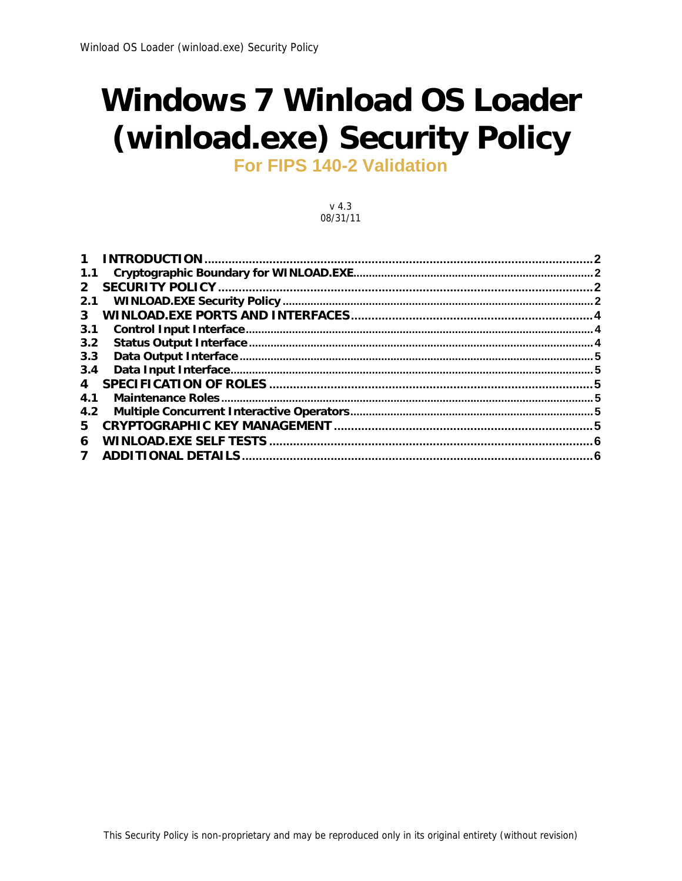# **Windows 7 Winload OS Loader** (winload.exe) Security Policy

**For FIPS 140-2 Validation** 

 $v$  4.3 08/31/11

|              | 2 |
|--------------|---|
| 1.1          |   |
| $2^{\circ}$  |   |
| 2.1          |   |
|              |   |
| 3.1          |   |
| 3.2          |   |
| 3.3          |   |
| 3.4          |   |
| 4            |   |
| 4.1          |   |
| 4.2          |   |
| 5.           |   |
| 6            |   |
| $\mathbf{7}$ |   |
|              |   |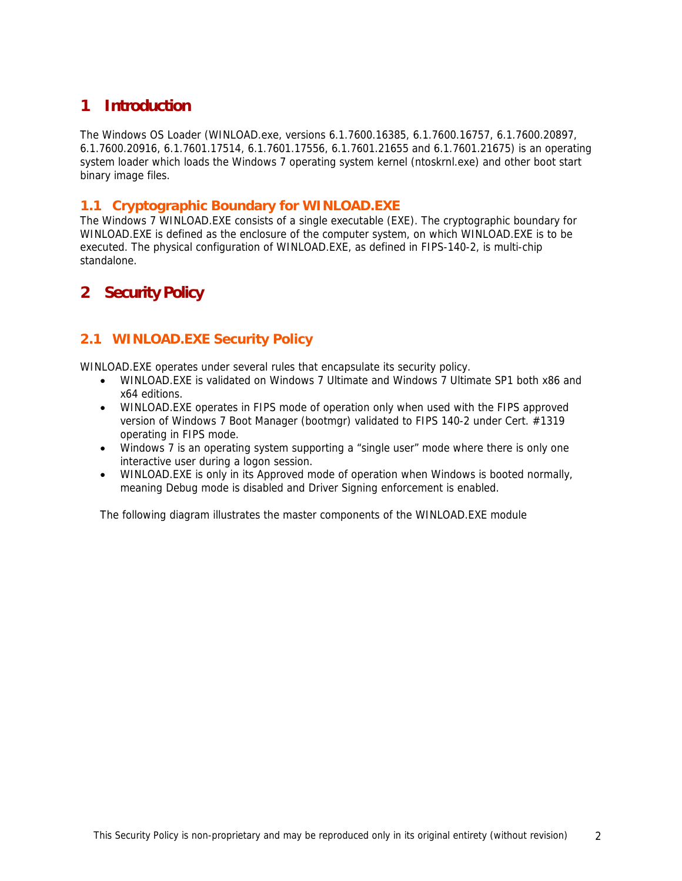# **1 Introduction**

The Windows OS Loader (WINLOAD.exe, versions 6.1.7600.16385, 6.1.7600.16757, 6.1.7600.20897, 6.1.7600.20916, 6.1.7601.17514, 6.1.7601.17556, 6.1.7601.21655 and 6.1.7601.21675) is an operating system loader which loads the Windows 7 operating system kernel (ntoskrnl.exe) and other boot start binary image files.

#### **1.1 Cryptographic Boundary for WINLOAD.EXE**

The Windows 7 WINLOAD.EXE consists of a single executable (EXE). The cryptographic boundary for WINLOAD.EXE is defined as the enclosure of the computer system, on which WINLOAD.EXE is to be executed. The physical configuration of WINLOAD.EXE, as defined in FIPS-140-2, is multi-chip standalone.

# **2 Security Policy**

## **2.1 WINLOAD.EXE Security Policy**

WINLOAD.EXE operates under several rules that encapsulate its security policy.

- WINLOAD.EXE is validated on Windows 7 Ultimate and Windows 7 Ultimate SP1 both x86 and x64 editions.
- WINLOAD.EXE operates in FIPS mode of operation only when used with the FIPS approved version of Windows 7 Boot Manager (bootmgr) validated to FIPS 140-2 under Cert. #1319 operating in FIPS mode.
- Windows 7 is an operating system supporting a "single user" mode where there is only one interactive user during a logon session.
- WINLOAD.EXE is only in its Approved mode of operation when Windows is booted normally, meaning Debug mode is disabled and Driver Signing enforcement is enabled.

The following diagram illustrates the master components of the WINLOAD.EXE module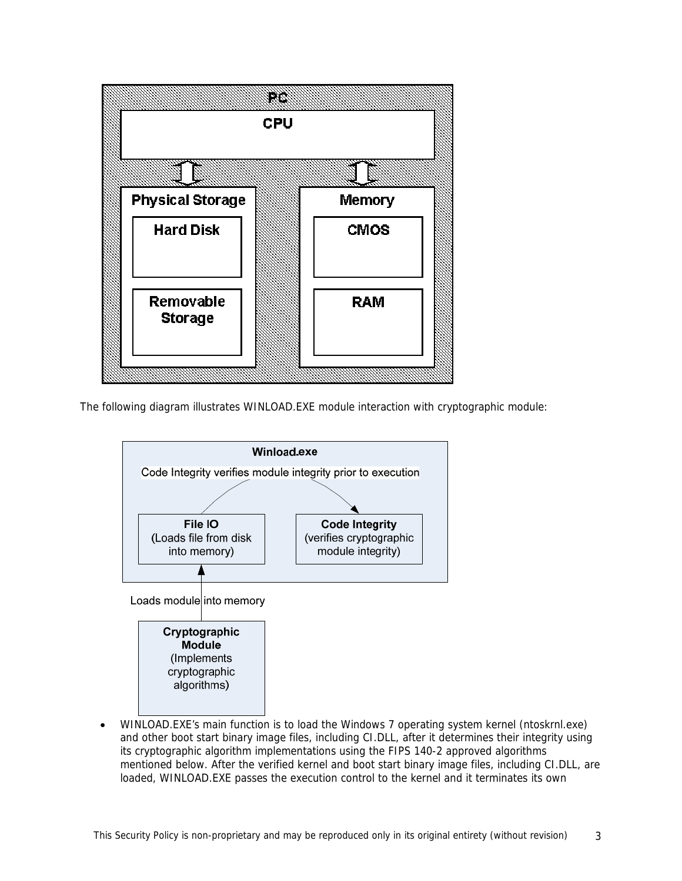

The following diagram illustrates WINLOAD.EXE module interaction with cryptographic module:



• WINLOAD.EXE's main function is to load the Windows 7 operating system kernel (ntoskrnl.exe) and other boot start binary image files, including CI.DLL, after it determines their integrity using its cryptographic algorithm implementations using the FIPS 140-2 approved algorithms mentioned below. After the verified kernel and boot start binary image files, including CI.DLL, are loaded, WINLOAD.EXE passes the execution control to the kernel and it terminates its own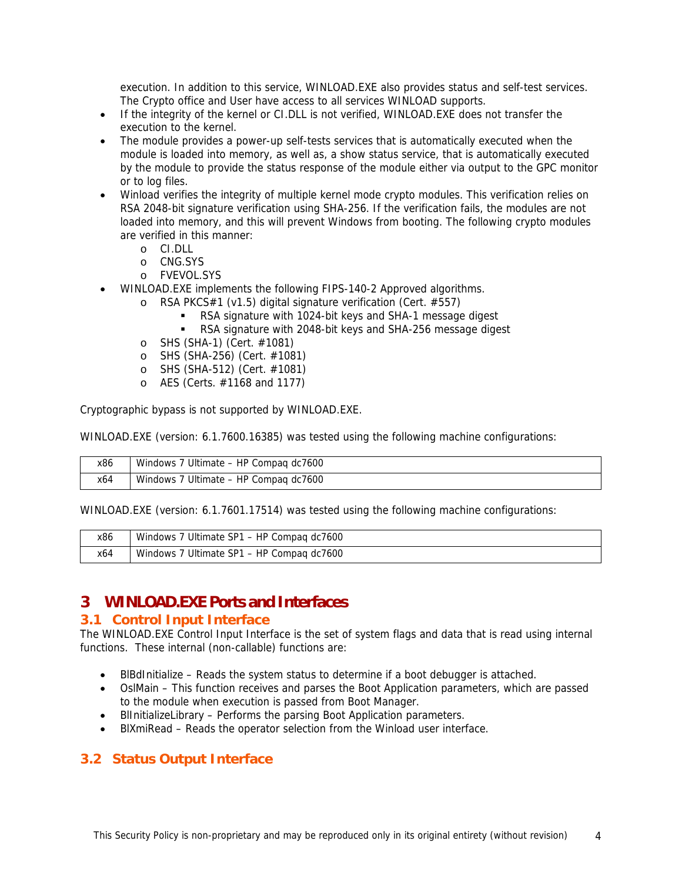execution. In addition to this service, WINLOAD.EXE also provides status and self-test services. The Crypto office and User have access to all services WINLOAD supports.

- If the integrity of the kernel or CI.DLL is not verified, WINLOAD.EXE does not transfer the execution to the kernel.
- The module provides a power-up self-tests services that is automatically executed when the module is loaded into memory, as well as, a show status service, that is automatically executed by the module to provide the status response of the module either via output to the GPC monitor or to log files.
- Winload verifies the integrity of multiple kernel mode crypto modules. This verification relies on RSA 2048-bit signature verification using SHA-256. If the verification fails, the modules are not loaded into memory, and this will prevent Windows from booting. The following crypto modules are verified in this manner:
	- o CI.DLL
	- o CNG.SYS
	- o FVEVOL.SYS
- WINLOAD.EXE implements the following FIPS-140-2 Approved algorithms.
	- o RSA PKCS#1 (v1.5) digital signature verification (Cert. #557)
		- RSA signature with 1024-bit keys and SHA-1 message digest
		- RSA signature with 2048-bit keys and SHA-256 message digest
	- o SHS (SHA-1) (Cert. #1081)
	- o SHS (SHA-256) (Cert. #1081)
	- o SHS (SHA-512) (Cert. #1081)
	- o AES (Certs. #1168 and 1177)

Cryptographic bypass is not supported by WINLOAD.EXE.

WINLOAD.EXE (version: 6.1.7600.16385) was tested using the following machine configurations:

| x86 | Windows 7 Ultimate - HP Compag dc7600 |
|-----|---------------------------------------|
| x64 | Windows 7 Ultimate - HP Compag dc7600 |

WINLOAD.EXE (version: 6.1.7601.17514) was tested using the following machine configurations:

| x86 | Windows 7 Ultimate SP1 - HP Compag dc7600 |
|-----|-------------------------------------------|
| x64 | Windows 7 Ultimate SP1 - HP Compag dc7600 |

## **3 WINLOAD.EXE Ports and Interfaces**

#### **3.1 Control Input Interface**

The WINLOAD.EXE Control Input Interface is the set of system flags and data that is read using internal functions. These internal (non-callable) functions are:

- BlBdInitialize Reads the system status to determine if a boot debugger is attached.
- OslMain This function receives and parses the Boot Application parameters, which are passed to the module when execution is passed from Boot Manager.
- BlInitializeLibrary Performs the parsing Boot Application parameters.
- BlXmiRead Reads the operator selection from the Winload user interface.

## **3.2 Status Output Interface**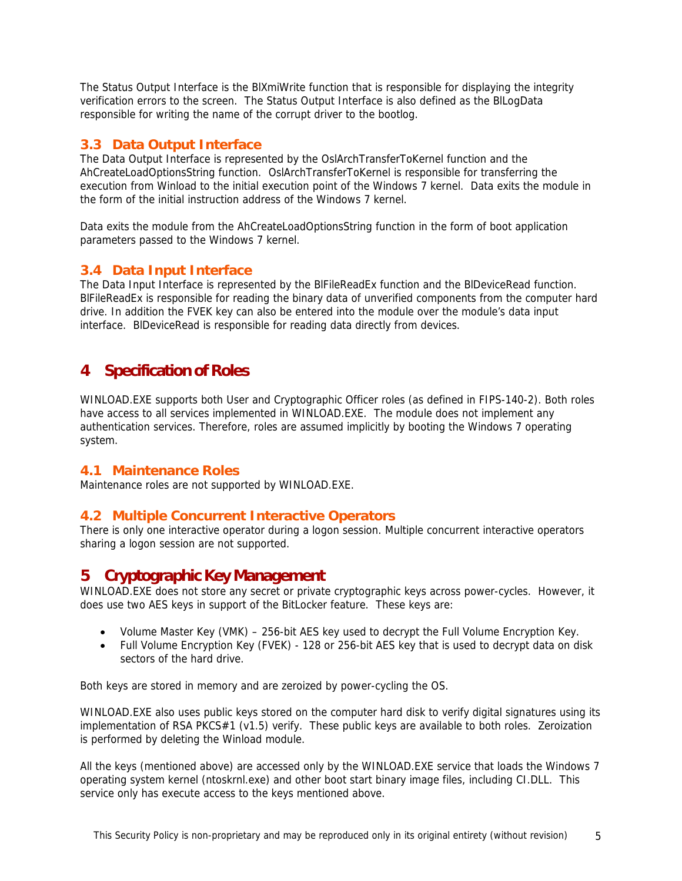The Status Output Interface is the BlXmiWrite function that is responsible for displaying the integrity verification errors to the screen. The Status Output Interface is also defined as the BlLogData responsible for writing the name of the corrupt driver to the bootlog.

#### **3.3 Data Output Interface**

The Data Output Interface is represented by the OslArchTransferToKernel function and the AhCreateLoadOptionsString function. OslArchTransferToKernel is responsible for transferring the execution from Winload to the initial execution point of the Windows 7 kernel. Data exits the module in the form of the initial instruction address of the Windows 7 kernel.

Data exits the module from the AhCreateLoadOptionsString function in the form of boot application parameters passed to the Windows 7 kernel.

#### **3.4 Data Input Interface**

The Data Input Interface is represented by the BlFileReadEx function and the BlDeviceRead function. BlFileReadEx is responsible for reading the binary data of unverified components from the computer hard drive. In addition the FVEK key can also be entered into the module over the module's data input interface. BlDeviceRead is responsible for reading data directly from devices.

# **4 Specification of Roles**

WINLOAD.EXE supports both User and Cryptographic Officer roles (as defined in FIPS-140-2). Both roles have access to all services implemented in WINLOAD.EXE. The module does not implement any authentication services. Therefore, roles are assumed implicitly by booting the Windows 7 operating system.

#### **4.1 Maintenance Roles**

Maintenance roles are not supported by WINLOAD.EXE.

#### **4.2 Multiple Concurrent Interactive Operators**

There is only one interactive operator during a logon session. Multiple concurrent interactive operators sharing a logon session are not supported.

## **5 Cryptographic Key Management**

WINLOAD.EXE does not store any secret or private cryptographic keys across power-cycles. However, it does use two AES keys in support of the BitLocker feature. These keys are:

- Volume Master Key (VMK) 256-bit AES key used to decrypt the Full Volume Encryption Key.
- Full Volume Encryption Key (FVEK) 128 or 256-bit AES key that is used to decrypt data on disk sectors of the hard drive.

Both keys are stored in memory and are zeroized by power-cycling the OS.

WINLOAD.EXE also uses public keys stored on the computer hard disk to verify digital signatures using its implementation of RSA PKCS#1 (v1.5) verify. These public keys are available to both roles. Zeroization is performed by deleting the Winload module.

All the keys (mentioned above) are accessed only by the WINLOAD.EXE service that loads the Windows 7 operating system kernel (ntoskrnl.exe) and other boot start binary image files, including CI.DLL. This service only has execute access to the keys mentioned above.